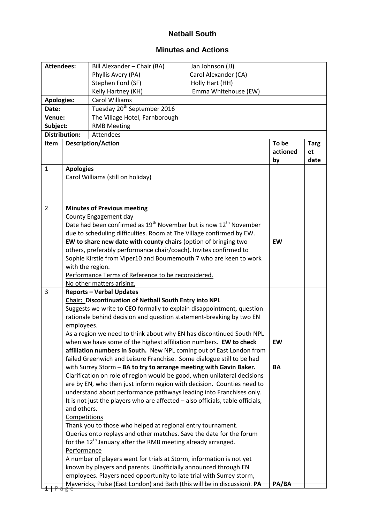## **Netball South**

## **Minutes and Actions**

| <b>Attendees:</b> |                                                                                                                                             | Bill Alexander - Chair (BA)                                                                                                             | Jan Johnson (JJ)     |           |             |  |  |
|-------------------|---------------------------------------------------------------------------------------------------------------------------------------------|-----------------------------------------------------------------------------------------------------------------------------------------|----------------------|-----------|-------------|--|--|
|                   |                                                                                                                                             | Phyllis Avery (PA)                                                                                                                      | Carol Alexander (CA) |           |             |  |  |
|                   |                                                                                                                                             | Stephen Ford (SF)                                                                                                                       | Holly Hart (HH)      |           |             |  |  |
|                   |                                                                                                                                             | Kelly Hartney (KH)                                                                                                                      | Emma Whitehouse (EW) |           |             |  |  |
| <b>Apologies:</b> |                                                                                                                                             | <b>Carol Williams</b>                                                                                                                   |                      |           |             |  |  |
| Date:             |                                                                                                                                             | Tuesday 20 <sup>th</sup> September 2016                                                                                                 |                      |           |             |  |  |
| Venue:            |                                                                                                                                             | The Village Hotel, Farnborough                                                                                                          |                      |           |             |  |  |
| Subject:          |                                                                                                                                             | <b>RMB Meeting</b>                                                                                                                      |                      |           |             |  |  |
|                   | <b>Distribution:</b><br>Attendees                                                                                                           |                                                                                                                                         |                      |           |             |  |  |
| Item              |                                                                                                                                             | <b>Description/Action</b>                                                                                                               |                      | To be     | <b>Targ</b> |  |  |
|                   |                                                                                                                                             |                                                                                                                                         |                      | actioned  | et          |  |  |
|                   |                                                                                                                                             |                                                                                                                                         |                      | by        | date        |  |  |
| $\mathbf{1}$      |                                                                                                                                             | <b>Apologies</b>                                                                                                                        |                      |           |             |  |  |
|                   |                                                                                                                                             | Carol Williams (still on holiday)                                                                                                       |                      |           |             |  |  |
|                   |                                                                                                                                             |                                                                                                                                         |                      |           |             |  |  |
|                   |                                                                                                                                             |                                                                                                                                         |                      |           |             |  |  |
| $\overline{2}$    |                                                                                                                                             | <b>Minutes of Previous meeting</b>                                                                                                      |                      |           |             |  |  |
|                   |                                                                                                                                             | <b>County Engagement day</b>                                                                                                            |                      |           |             |  |  |
|                   |                                                                                                                                             | Date had been confirmed as 19 <sup>th</sup> November but is now 12 <sup>th</sup> November                                               |                      |           |             |  |  |
|                   |                                                                                                                                             | due to scheduling difficulties. Room at The Village confirmed by EW.                                                                    |                      |           |             |  |  |
|                   |                                                                                                                                             | EW to share new date with county chairs (option of bringing two                                                                         |                      | <b>EW</b> |             |  |  |
|                   |                                                                                                                                             | others, preferably performance chair/coach). Invites confirmed to                                                                       |                      |           |             |  |  |
|                   |                                                                                                                                             | Sophie Kirstie from Viper10 and Bournemouth 7 who are keen to work                                                                      |                      |           |             |  |  |
|                   | with the region.                                                                                                                            |                                                                                                                                         |                      |           |             |  |  |
|                   |                                                                                                                                             | Performance Terms of Reference to be reconsidered.                                                                                      |                      |           |             |  |  |
|                   |                                                                                                                                             | No other matters arising.                                                                                                               |                      |           |             |  |  |
| 3                 |                                                                                                                                             | <b>Reports - Verbal Updates</b>                                                                                                         |                      |           |             |  |  |
|                   |                                                                                                                                             | <b>Chair: Discontinuation of Netball South Entry into NPL</b>                                                                           |                      |           |             |  |  |
|                   |                                                                                                                                             | Suggests we write to CEO formally to explain disappointment, question                                                                   |                      |           |             |  |  |
|                   |                                                                                                                                             | rationale behind decision and question statement-breaking by two EN                                                                     |                      |           |             |  |  |
|                   | employees.                                                                                                                                  |                                                                                                                                         |                      |           |             |  |  |
|                   |                                                                                                                                             | As a region we need to think about why EN has discontinued South NPL                                                                    |                      |           |             |  |  |
|                   |                                                                                                                                             | when we have some of the highest affiliation numbers. EW to check                                                                       |                      | EW        |             |  |  |
|                   |                                                                                                                                             | affiliation numbers in South. New NPL coming out of East London from                                                                    |                      |           |             |  |  |
|                   | failed Greenwich and Leisure Franchise. Some dialogue still to be had<br>with Surrey Storm - BA to try to arrange meeting with Gavin Baker. |                                                                                                                                         |                      |           |             |  |  |
|                   |                                                                                                                                             |                                                                                                                                         |                      | BA        |             |  |  |
|                   |                                                                                                                                             | Clarification on role of region would be good, when unilateral decisions                                                                |                      |           |             |  |  |
|                   |                                                                                                                                             | are by EN, who then just inform region with decision. Counties need to                                                                  |                      |           |             |  |  |
|                   |                                                                                                                                             | understand about performance pathways leading into Franchises only.                                                                     |                      |           |             |  |  |
|                   |                                                                                                                                             | It is not just the players who are affected - also officials, table officials,                                                          |                      |           |             |  |  |
|                   | and others.                                                                                                                                 |                                                                                                                                         |                      |           |             |  |  |
|                   | Competitions                                                                                                                                |                                                                                                                                         |                      |           |             |  |  |
|                   | Thank you to those who helped at regional entry tournament.                                                                                 |                                                                                                                                         |                      |           |             |  |  |
|                   | Queries onto replays and other matches. Save the date for the forum                                                                         |                                                                                                                                         |                      |           |             |  |  |
|                   | for the 12 <sup>th</sup> January after the RMB meeting already arranged.                                                                    |                                                                                                                                         |                      |           |             |  |  |
|                   | Performance<br>A number of players went for trials at Storm, information is not yet                                                         |                                                                                                                                         |                      |           |             |  |  |
|                   |                                                                                                                                             |                                                                                                                                         |                      |           |             |  |  |
|                   |                                                                                                                                             | known by players and parents. Unofficially announced through EN<br>employees. Players need opportunity to late trial with Surrey storm, |                      |           |             |  |  |
|                   |                                                                                                                                             | Mavericks, Pulse (East London) and Bath (this will be in discussion). PA                                                                |                      | PA/BA     |             |  |  |
| đ                 |                                                                                                                                             |                                                                                                                                         |                      |           |             |  |  |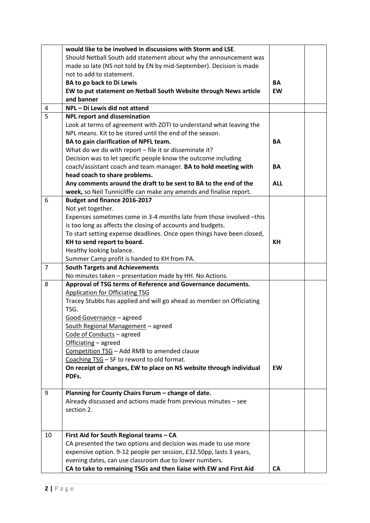|                | would like to be involved in discussions with Storm and LSE.           |            |  |
|----------------|------------------------------------------------------------------------|------------|--|
|                | Should Netball South add statement about why the announcement was      |            |  |
|                | made so late (NS not told by EN by mid-September). Decision is made    |            |  |
|                | not to add to statement.                                               |            |  |
|                | BA to go back to Di Lewis                                              | <b>BA</b>  |  |
|                | EW to put statement on Netball South Website through News article      |            |  |
|                | and banner                                                             |            |  |
| 4              | NPL - Di Lewis did not attend                                          |            |  |
| 5              | <b>NPL report and dissemination</b>                                    |            |  |
|                | Look at terms of agreement with ZOTI to understand what leaving the    |            |  |
|                | NPL means. Kit to be stored until the end of the season.               |            |  |
|                | BA to gain clarification of NPFL team.                                 | <b>BA</b>  |  |
|                | What do we do with report - file it or disseminate it?                 |            |  |
|                | Decision was to let specific people know the outcome including         |            |  |
|                | coach/assistant coach and team manager. BA to hold meeting with        | <b>BA</b>  |  |
|                | head coach to share problems.                                          |            |  |
|                | Any comments around the draft to be sent to BA to the end of the       | <b>ALL</b> |  |
|                | week, so Neil Tunnicliffe can make any amends and finalise report.     |            |  |
| 6              | Budget and finance 2016-2017                                           |            |  |
|                | Not yet together.                                                      |            |  |
|                | Expenses sometimes come in 3-4 months late from those involved -this   |            |  |
|                | is too long as affects the closing of accounts and budgets.            |            |  |
|                | To start setting expense deadlines. Once open things have been closed, |            |  |
|                | KH to send report to board.                                            | KH         |  |
|                | Healthy looking balance.                                               |            |  |
|                | Summer Camp profit is handed to KH from PA.                            |            |  |
| $\overline{7}$ | <b>South Targets and Achievements</b>                                  |            |  |
|                | No minutes taken - presentation made by HH. No Actions.                |            |  |
| 8              | Approval of TSG terms of Reference and Governance documents.           |            |  |
|                | <b>Application for Officiating TSG</b>                                 |            |  |
|                | Tracey Stubbs has applied and will go ahead as member on Officiating   |            |  |
|                | TSG.                                                                   |            |  |
|                | Good Governance - agreed                                               |            |  |
|                | South Regional Management - agreed                                     |            |  |
|                | Code of Conducts - agreed                                              |            |  |
|                | Officiating - agreed                                                   |            |  |
|                | Competition TSG - Add RMB to amended clause                            |            |  |
|                | Coaching TSG - SF to reword to old format.                             |            |  |
|                | On receipt of changes, EW to place on NS website through individual    | EW         |  |
|                | PDFs.                                                                  |            |  |
|                |                                                                        |            |  |
| 9              | Planning for County Chairs Forum - change of date.                     |            |  |
|                | Already discussed and actions made from previous minutes - see         |            |  |
|                | section 2.                                                             |            |  |
|                |                                                                        |            |  |
|                |                                                                        |            |  |
| 10             | First Aid for South Regional teams - CA                                |            |  |
|                | CA presented the two options and decision was made to use more         |            |  |
|                | expensive option. 9-12 people per session, £32.50pp, lasts 3 years,    |            |  |
|                | evening dates, can use classroom due to lower numbers.                 |            |  |
|                | CA to take to remaining TSGs and then liaise with EW and First Aid     | <b>CA</b>  |  |